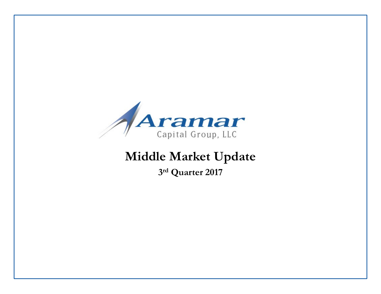

# **Middle Market Update**

**3rd Quarter 2017**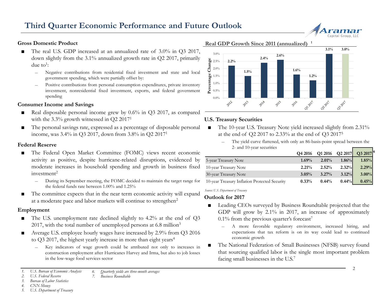

#### **Gross Domestic Product**

- The real U.S. GDP increased at an annualized rate of  $3.0\%$  in Q3 2017, down slightly from the 3.1% annualized growth rate in Q2 2017, primarily due to<sup>1</sup>:
	- ― Negative contributions from residential fixed investment and state and local government spending, which were partially offset by:
	- Positive contributions from personal consumption expenditures, private inventory investment, nonresidential fixed investment, exports, and federal government spending

#### **Consumer Income and Savings**

- Real disposable personal income grew by 0.6% in Q3 2017, as compared with the 3.3% growth witnessed in Q2 2017<sup>1</sup>
- The personal savings rate, expressed as a percentage of disposable personal income, was 3.4% in Q3 2017, down from 3.8% in Q2 20171

#### **Federal Reserve**

- The Federal Open Market Committee (FOMC) views recent economic activity as positive, despite hurricane-related disruptions, evidenced by moderate increases in household spending and growth in business fixed  $investment<sup>2</sup>$ 
	- ― During its September meeting, the FOMC decided to maintain the target range for the federal funds rate between 1.00% and 1.25%
- The committee expects that in the near term economic activity will expand at a moderate pace and labor markets will continue to strengthen2

#### **Employment**

- The U.S. unemployment rate declined slightly to 4.2% at the end of Q3 2017, with the total number of unemployed persons at  $6.8$  million<sup>3</sup>
- Average U.S. employee hourly wages have increased by 2.9% from Q3 2016 to  $Q3$  2017, the highest yearly increase in more than eight years<sup>4</sup>
	- Key indicators of wage growth could be attributed not only to increases in construction employment after Hurricanes Harvey and Irma, but also to job losses in the low-wage food services sector

#### *1. U.S. Bureau of Economic Analysis 6. Quarterly yields are three-month averages*

- *2. U.S. Federal Reserve*
- *7. Business Roundtable*

#### *3. Bureau of Labor Statistics*

- *4. CNN Money*
- *5. U.S. Department of Treasury*

#### **Real GDP Growth Since 2011 (annualized) 1**



#### **U.S. Treasury Securities**

- The 10-year U.S. Treasury Note yield increased slightly from 2.31% at the end of Q2 2017 to 2.33% at the end of Q3 20175
	- The yield curve flattened, with only an 86-basis-point spread between the 2- and 10-year securities

|                                               | Q4 2016  |          |          | Q1 2016 Q2 2017 Q3 2017 <sup>6</sup> |
|-----------------------------------------------|----------|----------|----------|--------------------------------------|
| 5-year Treasury Note                          | 1.69%    | $2.01\%$ | 1.86%    | 1.85%                                |
| 10-year Treasury Note                         | 2.21%    | 2.52%    | 2.32%    | 2.29%                                |
| 30-year Treasury Note                         | 3.05%    | $3.27\%$ | $3.12\%$ | $3.00\%$                             |
| 10-year Treasury Inflation Protected Security | $0.33\%$ | $0.44\%$ | 0.44%    | 0.45%                                |

*Source: U.S. Department of Treasury*

#### **Outlook for 2017**

- Leading CEOs surveyed by Business Roundtable projected that the GDP will grow by 2.1% in 2017, an increase of approximately  $0.1\%$  from the previous quarter's forecast<sup>7</sup>
	- ― A more favorable regulatory environment, increased hiring, and expectations that tax reform is on its way could lead to continued economic growth
- The National Federation of Small Businesses (NFSB) survey found that sourcing qualified labor is the single most important problem facing small businesses in the U.S.<sup>7</sup>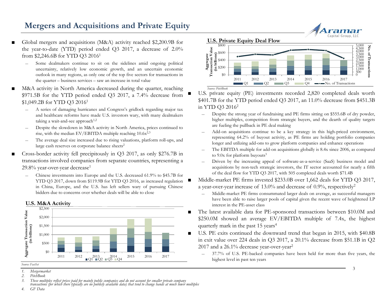## **Mergers and Acquisitions and Private Equity**

- Global mergers and acquisitions (M&A) activity reached \$2,200.9B for the year-to-date (YTD) period ended Q3 2017, a decrease of 2.0% from \$2,246.6B for YTD Q3 20161
	- Some dealmakers continue to sit on the sidelines amid ongoing political uncertainty, relatively low economic growth, and an uncertain economic outlook in many regions, as only one of the top five sectors for transactions in the quarter – business services – saw an increase in total value
- M&A activity in North America decreased during the quarter, reaching \$971.5B for the YTD period ended Q3 2017, a 7.4% decrease from \$1,049.2B for YTD Q3 20161
	- ― A series of damaging hurricanes and Congress's gridlock regarding major tax and healthcare reforms have made U.S. investors wary, with many dealmakers taking a wait-and-see approach $1,2$
	- ― Despite the slowdown in M&A activity in North America, prices continued to rise, with the median  $EV/EBITDA$  multiple reaching  $10.6x^{2,3}$
	- The average deal size increased due to rising valuations, platform roll-ups, and large cash reserves on corporate balance sheets<sup>2</sup>
- Cross-border activity fell precipitously in Q3 2017, as only \$276.7B in transactions involved companies from separate countries, representing a 29.8% year-over-year decrease<sup>1</sup>
	- Chinese investments into Europe and the U.S. decreased 61.9% to \$45.7B for YTD Q3 2017, down from \$119.9B for YTD Q3 2016, as increased regulation in China, Europe, and the U.S. has left sellers wary of pursuing Chinese bidders due to concerns over whether deals will be able to close



**U.S. M&A Activity**



U.S. private equity (PE) investments recorded 2,820 completed deals worth \$401.7B for the YTD period ended Q3 2017, an 11.0% decrease from \$451.3B in YTD Q3 20162

- Despite the strong year of fundraising and PE firms sitting on \$555.6B of dry powder, higher multiples, competition from strategic buyers, and the dearth of quality targets are fueling the pullback in PE deal making
- ― Add-on acquisitions continue to be a key strategy in this high-priced environment, representing 64.2% of buyout activity, as PE firms are holding portfolio companies longer and utilizing add-ons to grow platform companies and enhance operations
- The EBITDA multiple for add-on acquisitions globally is 8.4x since 2006, as compared to 9.0x for platform buyouts<sup>3</sup>
- ― Driven by the increasing appeal of software-as-a-service (SaaS) business model and acquisitions by non-tech strategic investors, the IT sector accounted for nearly a fifth of the deal flow for YTD Q3 2017, with 505 completed deals worth \$71.4B
- Middle-market PE firms invested \$233.0B over 1,662 deals for YTD Q3 2017, a year-over-year increase of  $13.0\%$  and decrease of 0.9%, respectively<sup>2</sup>
	- ― Middle-market PE firms consummated larger deals on average, as successful managers have been able to raise larger pools of capital given the recent wave of heightened LP interest in the PE-asset class
- The latest available data for PE-sponsored transactions between \$10.0M and \$250.0M showed an average EV/EBITDA multiple of 7.4x, the highest quarterly mark in the past 15 years<sup>4</sup>
- U.S. PE exits continued the downward trend that began in 2015, with \$40.8B in exit value over 224 deals in Q3 2017, a 20.1% decrease from \$51.1B in Q2 2017 and a 26.1% decrease year-over-year<sup>2</sup>
	- ― 37.7% of U.S. PE-backed companies have been held for more than five years, the highest level in past ten years

*Source: FactSet*

*<sup>1.</sup> Mergermarket*

*<sup>2.</sup> PitchBook*

<sup>3.</sup> These multiples reflect prices paid for mainly public companies and do not account for smaller private company<br>transactions (for which there typically are no publicly available data) that tend to change hands at much lo

<sup>3</sup>

*<sup>4.</sup> GF Data*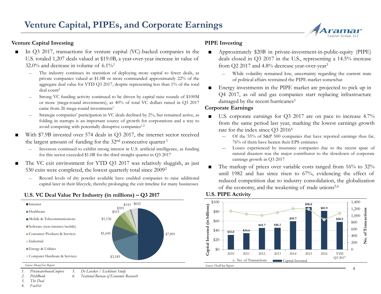#### **Venture Capital Investing**

- In Q3 2017, transactions for venture capital (VC)-backed companies in the U.S. totaled 1,207 deals valued at \$19.0B, a year-over-year increase in value of  $32.0\%$  and decrease in volume of  $6.1\%$ <sup>1</sup>
	- ― The industry continues its transition of deploying more capital to fewer deals, as private companies valued at \$1.0B or more commanded approximately 22% of the aggregate deal value for YTD Q3 2017, despite representing less than 1% of the total deal count<sup>2</sup>
	- ― Strong VC funding activity continued to be driven by capital raise rounds of \$100M or more (mega-round investments), as 40% of total VC dollars raised in Q3 2017 came from 26 mega-round investments<sup>1</sup>
	- Strategic companies' participation in VC deals declined by 2%, but remained active, as folding in startups is an important source of growth for corporations and a way to avoid competing with potentially disruptive companies<sup>1,2</sup>
- With \$7.9B invested over 574 deals in Q3 2017, the internet sector received the largest amount of funding for the 32<sup>nd</sup> consecutive quarter <sup>1</sup>
	- ― Investors continued to exhibit strong interest in U.S. artificial intelligence, as funding for this sector exceeded \$1.0B for the third straight quarter in Q3 2017
- The VC exit environment for YTD Q3 2017 was relatively sluggish, as just 530 exits were completed, the lowest quarterly total since 20092
	- Record levels of dry powder available have enabled companies to raise additional capital later in their lifecycle, thereby prolonging the exit timeline for many businesses

#### **U.S. VC Deal Value Per Industry (in millions) – Q3 2017**

#### \$100  $\blacksquare$ Internet \$652 **\$90.0** Capital Invested (in billions) **Capital Invested (in billions) \$81.9** \$515 \$591 **Healthcare** \$80 **\$59.7** Mobile & Telecommunications \$1,136 **\$58.5** \$60 **\$45.7 \$46.1** Software (non-internet/mobile) \$40 **\$31.0 \$34.6** \$1,645 ■ Consumer Products & Services \$7,891 \$20 **Industrial** Energy & Utilities \$0 2010 2011 2012 2013 2014 2015 2016 YTD Computer Hardware & Services \$3,185 No. of Transactions Capital Invested *Source: MoneyTree Report Source: DealFlow Report*

#### *1. PricewaterhouseCoopers 5. De Loecker / Eeckhout Study*

*2. PitchBook 6. National Bureau of Economic Research*

*3. The Deal*

*4. FactSet*

### **PIPE Investing**

- Approximately \$20B in private-investment-in-public-equity (PIPE) deals closed in Q3 2017 in the U.S., representing a 14.5% increase from Q2 2017 and 4.8% decrease year-over-year<sup>3</sup>
	- While volatility remained low, uncertainty regarding the current state of political affairs restrained the PIPE market somewhat
- Energy investments in the PIPE market are projected to pick up in Q4 2017, as oil and gas companies start replacing infrastructure damaged by the recent hurricanes<sup>3</sup>

#### **Corporate Earnings**

**U.S. PIPE Activity**

- U.S. corporate earnings for Q3 2017 are on pace to increase 4.7% from the same period last year, marking the lowest earnings growth rate for the index since Q3 2016<sup>4</sup>
	- ― Of the 55% of S&P 500 companies that have reported earnings thus far, 76% of them have beaten their EPS estimates
	- Losses experienced by insurance companies due to the recent spate of natural disasters was the major contributor to the slowdown of corporate earnings growth in Q3 2017
- The markup of prices over variable costs ranged from  $16\%$  to  $32\%$ until 1982 and has since risen to 67%, evidencing the effect of reduced competition due to industry consolidation, the globalization of the economy, and the weakening of trade unions<sup>5,6</sup>



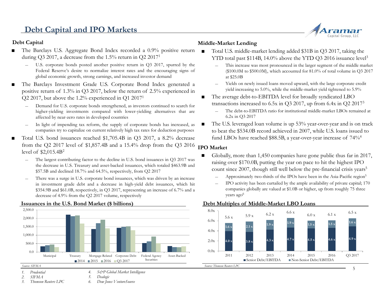## **Debt Capital and IPO Markets**

#### **Debt Capital**

- The Barclays U.S. Aggregate Bond Index recorded a 0.9% positive return during Q3 2017, a decrease from the 1.5% return in Q2 20171
	- U.S. corporate bonds posted another positive return in Q3 2017, spurred by the Federal Reserve's desire to normalize interest rates and the encouraging signs of global economic growth, strong earnings, and increased investor demand
- The Barclays Investment Grade U.S. Corporate Bond Index generated a positive return of 1.3% in Q3 2017, below the return of 2.5% experienced in Q2 2017, but above the 1.2% experienced in Q1 20171
	- ― Demand for U.S. corporate bonds strengthened, as investors continued to search for higher-yielding investments compared with lower-yielding alternatives that are affected by near-zero rates in developed countries
	- In light of impending tax reform, the supply of corporate bonds has increased, as companies try to capitalize on current relatively high tax rates for deduction purposes
- Total U.S. bond issuances reached \$1,705.4B in Q3 2017, a 8.2% decrease from the Q2 2017 level of \$1,857.4B and a 15.4% drop from the Q3 2016 level of \$2,015.4B2
	- The largest contributing factor to the decline in U.S. bond issuances in Q3 2017 was the decrease in U.S. Treasury and asset-backed issuances, which totaled \$463.9B and \$57.5B and declined 18.7% and 64.5%, respectively, from Q2 2017
	- There was a surge in U.S. corporate bond issuances, which was driven by an increase in investment grade debt and a decrease in high-yield debt issuances, which hit \$354.9B and \$61.0B, respectively, in Q3 2017, representing an increase of 6.7% and a decrease of 4.9% from the Q2 2017 volume, respectively



#### **Issuances in the U.S. Bond Market (\$ billions)**

#### *1. Prudential*

*2. SIFMA*

*3. Thomson Reuters LPC*

*4. S&P Global Market Intelligence 5. Dealogic*

*6. Dow Jones VentureSource*

### **Middle-Market Lending**

- Total U.S. middle-market lending added \$31B in Q3 2017, taking the YTD total past \$114B, 14.0% above the YTD Q3 2016 issuance level<sup>3</sup>
	- This increase was most pronounced in the larger segment of the middle market (\$100.0M to \$500.0M), which accounted for 81.0% of total volume in Q3 2017 at \$25.0B
	- ― Yields on newly issued loans moved upward, with the large corporate credit yield increasing to 5.0%, while the middle-market yield tightened to 5.9%
- The average debt-to-EBITDA level for broadly syndicated LBO transactions increased to 6.5x in Q3 2017, up from 6.4x in Q2 20173
	- The debt-to-EBITDA ratio for institutional middle-market LBOs remained at 6.2x in Q3 2017
- The U.S. leveraged loan volume is up 53% year-over-year and is on track to beat the \$534.0B record achieved in 2007, while U.S. loans issued to fund LBOs have reached \$88.5B, a year-over-year increase of 74%4

### **IPO Market**

- Globally, more than 1,450 companies have gone public thus far in 2017, raising over \$170.0B, putting the year on pace to hit the highest IPO count since 2007, though still well below the pre-financial crisis years<sup>5</sup>
	- Approximately two-thirds of the IPOs have been in the Asia-Pacific region<sup>5</sup>
	- ― IPO activity has been curtailed by the ample availability of private capital; 170 companies globally are valued at \$1.0B or higher, up from roughly 75 three years ago<sup>6</sup>

#### **Debt Multiples of Middle-Market LBO Loans**



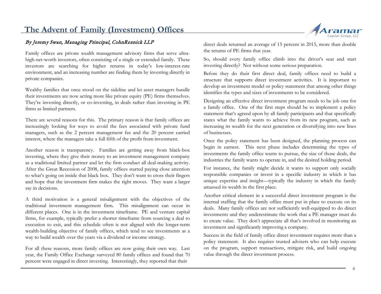## **The Advent of Family (Investment) Offices**

### By Jeremy Swan, Managing Principal, CohnReznick LLP

Family offices are private wealth management advisory firms that serve ultrahigh-net-worth investors, often consisting of a single or extended family. These investors are searching for higher returns in today's low-interest-rate environment, and an increasing number are finding them by investing directly in private companies.

Wealthy families that once stood on the sideline and let asset managers handle their investments are now acting more like private equity (PE) firms themselves. They're investing directly, or co-investing, in deals rather than investing in PE firms as limited partners.

There are several reasons for this. The primary reason is that family offices are increasingly looking for ways to avoid the fees associated with private fund managers, such as the 2 percent management fee and the 20 percent carried interest, where the managers take a full fifth of the profit from investment.

Another reason is transparency. Families are getting away from black-box investing, where they give their money to an investment management company as a traditional limited partner and let the firm conduct all deal-making activity. After the Great Recession of 2008, family offices started paying close attention to what's going on inside that black box. They don't want to cross their fingers and hope that the investment firm makes the right moves. They want a larger say in decisions.

A third motivation is a general misalignment with the objectives of the traditional investment management firm. This misalignment can occur in different places. One is in the investment timeframe. PE and venture capital firms, for example, typically prefer a shorter timeframe from sourcing a deal to execution to exit, and this schedule often is not aligned with the longer-term wealth-building objective of family offices, which tend to see investments as a way to build wealth over the years via a dividend or income strategy.

For all these reasons, more family offices are now going their own way. Last year, the Family Office Exchange surveyed 80 family offices and found that 70 percent were engaged in direct investing. Interestingly, they reported that their



direct deals returned an average of 15 percent in 2015, more than double the returns of PE firms that year.

So, should every family office climb into the driver's seat and start investing directly? Not without some serious preparation.

Before they do their first direct deal, family offices need to build a structure that supports direct investment activities. It is important to develop an investment model or policy statement that among other things identifies the types and sizes of investments to be considered.

Designing an effective direct investment program needs to be job one for a family office. One of the first steps should be to implement a policy statement that's agreed upon by all family participants and that specifically states what the family wants to achieve from its new program, such as increasing its wealth for the next generation or diversifying into new lines of businesses.

Once the policy statement has been designed, the planning process can begin in earnest. This next phase includes determining the types of investments the family office wants to pursue, the size of those deals, the industries the family wants to operate in, and the desired holding period.

For instance, the family might decide it wants to support only socially responsible companies or invest in a specific industry in which it has unique expertise and insight—typically the industry in which the family amassed its wealth in the first place.

Another critical element in a successful direct investment program is the internal staffing that the family office must put in place to execute on its deals. Many family offices are not sufficiently well-equipped to do direct investments and they underestimate the work that a PE manager must do to create value. They don't appreciate all that's involved in monitoring an investment and significantly improving a company.

Success in the field of family office direct investment requires more than a policy statement. It also requires trusted advisers who can help execute on the program, support transactions, mitigate risk, and build ongoing value through the direct investment process.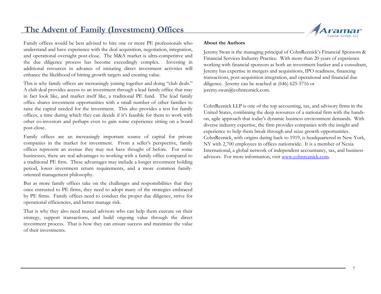## **The Advent of Family (Investment) Offices**

Family offices would be best advised to hire one or more PE professionals who understand and have experience with the deal acquisition, negotiation, integration, and operational oversight post-close. The M&A market is ultra-competitive and the due diligence process has become exceedingly complex. Investing in additional resources in advance of initiating direct investment activities will enhance the likelihood of hitting growth targets and creating value.

This is why family offices are increasingly joining together and doing "club deals." A club deal provides access to an investment through a lead family office that may in fact look like, and market itself like, a traditional PE fund. The lead family office shares investment opportunities with a small number of other families to raise the capital needed for the investment. This also provides a test for family offices, a time during which they can decide if it's feasible for them to work with other co-investors and perhaps even to gain some experience sitting on a board post-close.

Family offices are an increasingly important source of capital for private companies in the market for investment. From a seller's perspective, family offices represent an avenue they may not have thought of before. For some businesses, there are real advantages to working with a family office compared to a traditional PE firm. These advantages may include a longer investment holding period, lower investment return requirements, and a more common familyoriented management philosophy.

But as more family offices take on the challenges and responsibilities that they once entrusted to PE firms, they need to adopt many of the strategies embraced by PE firms. Family offices need to conduct the proper due diligence, strive for operational efficiencies, and better manage risk.

That is why they also need trusted advisors who can help them execute on their strategy, support transactions, and build ongoing value through the direct investment process. That is how they can ensure success and maximize the value of their investments.



#### **About the Authors**

Jeremy Swan is the managing principal of CohnReznick's Financial Sponsors & Financial Services Industry Practice. With more than 20 years of experience working with financial sponsors as both an investment banker and a consultant, Jeremy has expertise in mergers and acquisitions, IPO readiness, financing transactions, post-acquisition integration, and operational and financial due diligence. Jeremy can be reached at (646) 625-5716 or jeremy.swan@cohnreznick.com.

CohnReznick LLP is one of the top accounting, tax, and advisory firms in the United States, combining the deep resources of a national firm with the handson, agile approach that today's dynamic business environment demands. With diverse industry expertise, the firm provides companies with the insight and experience to help them break through and seize growth opportunities. CohnReznick, with origins dating back to 1919, is headquartered in New York, NY with 2,700 employees in offices nationwide. It is a member of Nexia International, a global network of independent accountancy, tax, and business advisors. For more information, visit [www.cohnreznick.com](http://www.cohnreznick.com/).